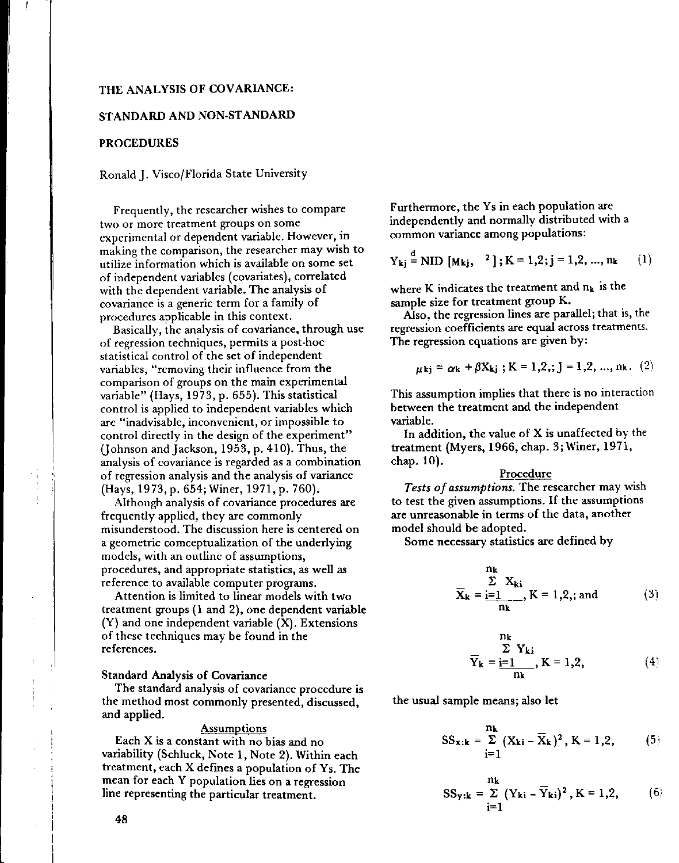# THE ANALYSIS OF COVARIANCE:

### STANDARD AND NON-STANDARD

#### PROCEDURES

#### Ronald]. Visco/Florida State University

Frequently, the researcher wishes to compare **two or** more **treatment groups on some** experimental or dependent variable. However, in making the comparison, the researcher may wish to **utilize information which is available on some set** of independent variables (covariates), correlated with the dependent variable. The analysis of **covariance is a generic term for a family of** procedures applicable in this context.

Basically, the analysis of covariance, through use **of regression techniques,** permits **a post-hoc** statistical control of the set of independent **variables, "removing their influence from the comparison of groups on the main experimental** variable" (Hays, 1973, p. 655). This statistical control is applied to independent variables which **are "inadvisable, inconvenient, or impossible to** control directly in the design of the experiment" (johnson and]ackson, 1953, p. 410). Thus, the **analysis of covariance is regarded as a combination** of regression analysis and the analysis of variance (Hays, 1973, p. 654; Winer, 1971, p. 760).

Although analysis of covariance procedures are frequently applied, they are commonly **misunderstood. The discussion here is centered on** a geometric comceptualization of the underlying **models, with an outline of assumptions, procedures, and appropriate statistics, as well as reference to available computer programs.**

Attention is limited to linear models with two treatment groups (1 and 2), one dependent variable (Y) and one independent variable (X). Extensions of these techniques may be found in the **references.**

### Standard Analysis of Covariance

The standard analysis of covariance procedure is the method most commonly presented, discussed, and applied.

#### **Assumptions**

Each X is a constant with no bias and no variability (Schluck, Note 1, Note 2). Within each treatment, each X defines a population of Ys. The mean for each Y population lies on a regression line representing the particular treatment.

Furthermore, the Ys in each population are independently and normally distributed with a **common variance among populations:**

d

$$
Y_{ki} = NID[M_{kj}, 2]; K = 1,2; j = 1,2, ..., nk
$$
 (1)

where K indicates the treatment and  $n_k$  is the sample size for treatment group K.

Also, the regression lines are parallel; that is, the **regression coefficients are equal across treatments.** The regression equations are given by:

$$
\mu_{kj} = \alpha_k + \beta X_{kj}
$$
; K = 1,2,: J = 1,2, ..., nk. (2)

This assumption implies that there is no interaction between the treatment and the independent variable.

In addition, the value of X is unaffected by the treatment (Myers, 1966, chap. 3; Winer, 1971, chap. 10).

### Procedure

*Tests of assumptions.* The researcher may wish to test the given assumptions. If the assumptions are unreasonable in terms of the data, another model should be adopted.

Some necessary statistics are defined by

$$
\frac{\sum_{k=1}^{n_k} X_{ki}}{\sum_{k=1}^{n_k} X_{ki}} = 1, 2, ; \text{ and } (3)
$$

$$
\frac{n_k}{Y_k} = \frac{\sum Y_{ki}}{n_k}, K = 1, 2,
$$
\n(4)

the usual sample means; also let

$$
SS_{\mathbf{x}: \mathbf{k}} = \sum_{i=1}^{n_{\mathbf{k}}} (X_{\mathbf{k}i} - \overline{X}_{\mathbf{k}})^2, K = 1, 2,
$$
 (5)

$$
SS_{y:k} = \sum_{i=1}^{n_k} (Y_{ki} - \overline{Y}_{ki})^2, K = 1,2, \qquad (6)
$$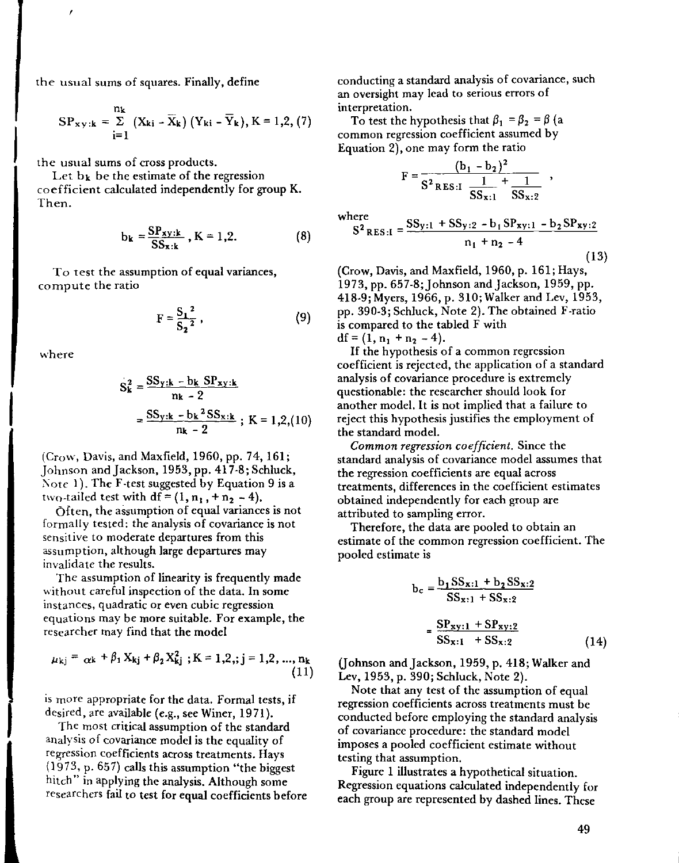the usual sums of squares. Finally, define

$$
SP_{xy:k} = \sum_{i=1}^{n_k} (X_{ki} - \overline{X}_k) (Y_{ki} - \overline{Y}_k), K = 1,2, (7)
$$

**the usual sums of cross products.**

,

Let  $b_k$  be the estimate of the regression coefficient calculated independently for group K. Then.

$$
b_{\mathbf{k}} = \frac{\mathbf{S} P_{\mathbf{X} \mathbf{y}: \mathbf{k}}}{\mathbf{S} \mathbf{S}_{\mathbf{x}: \mathbf{k}}}, \mathbf{K} = 1, 2.
$$
 (8)

**To test the assumption of equal variances, compute the ratio**

$$
F = \frac{S_1^2}{S_2^2},
$$
 (9)

**where**

$$
S_k^2 = \frac{SS_{y:k} - b_k SP_{xy:k}}{n_k - 2}
$$
  
= 
$$
\frac{SS_{y:k} - b_k^2 SS_{x:k}}{n_k - 2}
$$
; K = 1,2,(10)

(Crow, Davis, and Maxfield, 1960, pp. 74, 161; Johnson and Jackson, 1953, pp. 417-8; Schluck, Note 1). The F-test suggested by Equation 9 is a two-tailed test with  $df = (1, n_1, +n_2, -4)$ .

Often, the assumption of equal variances is not formally tested: the analysis of covariance is not sensitive to moderate departures from this assumption, although large departures may invalidate the results.

The assumption of linearity is frequently made without careful inspection of the data. In some **instances, q**uadratic **or even cubic regression** equations may be more suitable. For example, the researcher may find that the model

$$
\mu_{kj} = \alpha k + \beta_1 X_{kj} + \beta_2 X_{kj}^2 ; K = 1, 2, j = 1, 2, ..., n_k
$$
\n(11)

is more appropriate for the data. Formal tests, if desired, are available (e.g., see Winer, 1971).

The most critical assumption of the standard analysis of covariance model is the equality of **regression coefficients across treatments. Hays** (1973, p. 657) calls this assumption "the biggest hitch" in applying the analysis. Although some researchers fail to test for equal coefficients before **conducting a standard analysis of covariance, such an oversight may lead to serious errors of interpretation.**

To test the hypothesis that  $\beta_1 = \beta_2 = \beta$  (a common regression coefficient assumed by Equation 2), one may form the ratio

(b, -b2)2 F = 1 1 S2RES,I -- +-- SS"I SS,,2

where  
\n
$$
S^{2} \text{RES} \cdot I = \frac{SS_{y:1} + SS_{y:2} - b_{1}SP_{xy:1} - b_{2}SP_{xy:2}}{n_{1} + n_{2} - 4}
$$
\n(13)

(Crow, Davis, and Maxfield, 1960, p. 161; Hays, 1973, pp. 657-8; Johnson and Jackson, 1959, pp. 418-9; Myers, 1966, p. 310; Walker and Lev, 1953, pp. 390-3; Schluck, Note 2). The obtained F-ratio is compared to the tabled F with  $df = (1, n_1 + n_2 - 4).$ 

If the hypothesis of a common regression coefficient is rejected, the application of a standard analysis of covariance procedure is extremely questionable: the researcher should look for another model. It is not implied that a failure to reject this hypothesis justifies the employment of the standard model.

*Common regression coefficient.* Since the standard analysis of covariance model assumes that **the regression coefficients are equal across** treatments, differences in the coefficient estimates obtained independently for each group are attributed to sampling error.

Therefore, the data are pooled to obtain an estimate of the common regression coefficient. The pooled estimate is

$$
b_c = \frac{b_1 SS_{x:1} + b_2 SS_{x:2}}{SS_{x:1} + SS_{x:2}}
$$

$$
= \frac{SP_{xy:1} + SP_{xy:2}}{SS_{x:1} + SS_{x:2}}
$$
(14)

(Johnson and Jackson, 1959, p. 418; Walker and Lev, 1953, p. 390; Schluck, Note 2).

Note that any test of the assumption of equal **regression coefficients across treatments must be** conducted before employing the standard analysis of covariance procedure: the standard model imposes a pooled coefficient estimate without testing that assumption.

Figure 1 illustrates a hypothetical situation. Regression equations calculated independently for each group are represented by dashed lines. These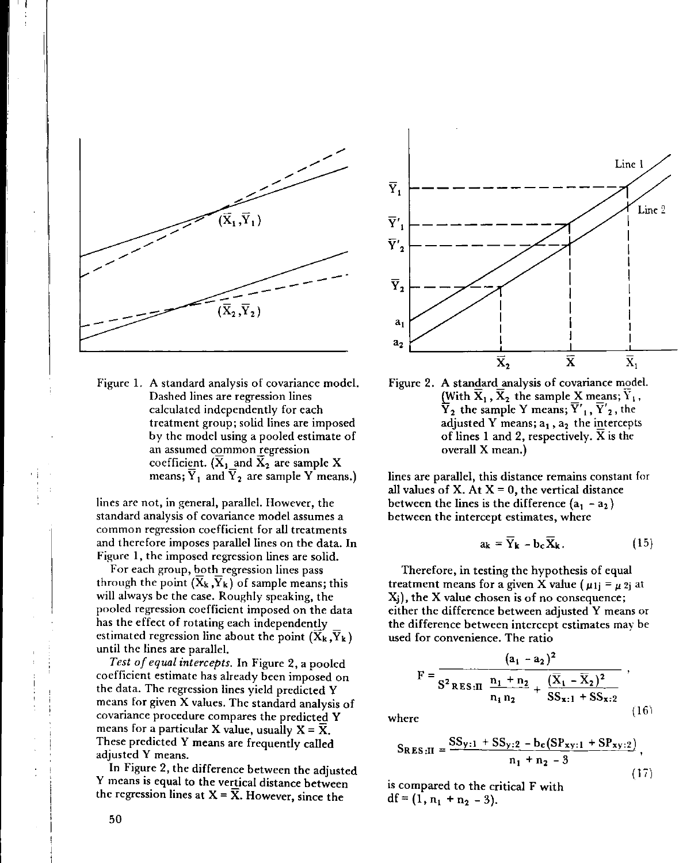

Figure 1. A standard analysis of covariance model. **Dashed lines are regression lines** calculated independently for each **treatment group; solid lines are imposed** by the model using a pooled estimate of  $an$  assumed common regression coefficient. ( $\overline{X}_1$  and  $\overline{X}_2$  are sample X means;  $\overline{Y}_1$  and  $\overline{Y}_2$  are sample Y means.)

**lines are not, in general, parallel. However, the standard analysis of covariance model assumes a common regression coefficient for all treatments** and therefore imposes parallel lines on the data. **In** Figure 1, the imposed regression lines are solid.

For each group, both regression lines pass through the point  $(X_k, Y_k)$  of sample means; this will always be the case. Roughly speaking, the pooled regression coefficient imposed on the data has the effect of rotating each independently estimated regression line about the point  $(X_k, Y_k)$ until the lines are parallel.

*Test of equal intercepts.* In Figure 2, a pooled coefficient estimate has already been imposed on the data. The regression lines yield predicted Y means for given X values. The standard analysis of covariance procedure compares the predicted Y means for a particular X value, usually  $X = \overline{X}$ . These predicted Y means are frequently called adjusted Y means.

**In** Figure 2, the difference between the adjusted Y means is equal to the vertical distance between the regression lines at  $X = \overline{X}$ . However, since the



Figure 2. A standard analysis of covariance model. (With  $\overline{\mathbf{X}}_1$  ,  $\overline{\mathbf{X}}_2$  the sample  $\underline{\mathbf{X}}$  means;  $\overline{\mathbf{Y}}_1$ Y **2 the sample Y means; Y' 1, Y'2' the** adjusted Y means;  $a_1$ ,  $a_2$  the intercepts of lines 1 and 2, respectively. X is the overall X mean.)

**lines are parallel, this distance remains constant for** all values of X. At  $X = 0$ , the vertical distance between the lines is the difference  $(a_1 - a_2)$ **between the intercept estimates, where**

$$
a_{k} = \overline{Y}_{k} - b_{c} \overline{X}_{k}. \qquad (15)
$$

Therefore, in testing the hypothesis of equal treatment means for a given X value ( $\mu$ 1j =  $\mu$  2j at **Xj), the X value chosen is of no consequence;** either the difference between adjusted Y means or the difference between intercept estimates may be **used for convenience. The ratio**

$$
F = \frac{(a_1 - a_2)^2}{S^2 \text{RES} \cdot \text{II} \frac{n_1 + n_2}{n_1 n_2} + \frac{(\overline{X}_1 - \overline{X}_2)^2}{SS_{x:1} + SS_{x:2}}},
$$
  
where (16)

$$
S_{RES:II} = \frac{SS_{y:1} + SS_{y:2} - b_c(SP_{xy:1} + SP_{xy:2})}{n_1 + n_2 - 3},
$$
\n(17)

is compared to the critical F with  $df = (1, n_1 + n_2 - 3).$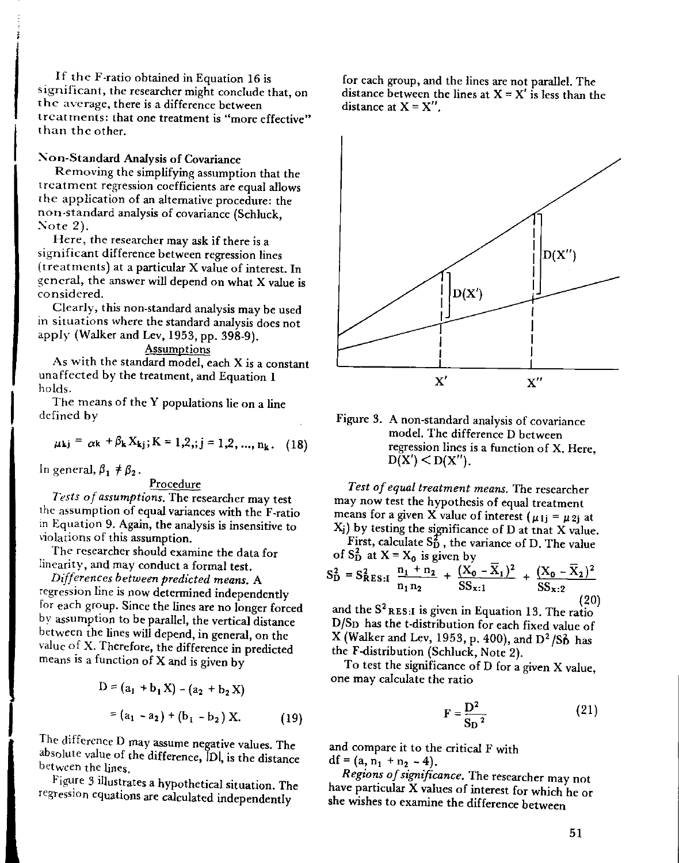If the F-ratio obtained in Equation 16 is **significant, the researchermight conclude that, on the average, there is a difference between treatments: that one treatment is "more effective"** than the other.

# Non-Standard Analysis of Covariance

Removing the simplifying assumption that the treatment regression coefficients are equal allows the application of an alternative procedure: the non-standard analysis of covariance (Schluck, Note 2).

Here, the researcher may ask if there is a significant difference between regression lines (treatments) at a particular X value of interest. In general, the answer will depend on what X value is **considered.**

Clearly, this non-standard analysis may be used in situations where the standard analysis does not apply (Walker and Lev, 1953, pp. 398-9).

# **Assumptions**

As with the standard model, each X is a constant unaffected by the treatment, and Equation 1 holds.

The means of the Y populations lie on a line defined by

$$
\mu_{kj} = \alpha k + \beta k X_{kj}; K = 1,2, j = 1,2, ..., n_k.
$$
 (18)

In general,  $\beta_1 \neq \beta_2$ .

### Procedure

*Tests of assumptions.* The researcher may test the assumption of equal variances with the F-ratio in Equation 9. Again, the analysis is insensitive to violations of this assumption.

The researcher *should* examine the data for linearity, and may conduct a formal test.

*Differences between predicted means.* A regression line is now determined independently for each group. Since *the* lines are no longer forced by assumption to be parallel, the vertical distance between the lines will depend, in general, on the value of X. Therefore, the difference in predicted means is a function of  $X$  and is given by

$$
D = (a_1 + b_1 X) - (a_2 + b_2 X)
$$
  
= (a<sub>1</sub> - a<sub>2</sub>) + (b<sub>1</sub> - b<sub>2</sub>) X. (19)

The difference D may assume negative values. The absolute value of the difference, Dl, is the distance between the lines.

Figure 3 ilIustrates a hypothetical situation. The regression equations are calculated independently

for each group, and the lines are not parallel. The distance between the lines at  $X = X'$  is less than the **distance** at  $X = X''$ .



Figure 3. A non-standard analysis of covariance model. The difference D between **regression lines is a function of X. Here,**  $D(X') < D(X'')$ .

*Test of equal treatment means.* The researcher may now test the hypothesis of equal treatment means for a given X value of interest  $(\mu_{1j} = \mu_{2j}$  at Xj) by testing the sjpnificance of D at tnat X value.

First, calculate  $S_D^2$ , the variance of D. The value of  $S_D^2$  at  $X = X_0$  is given by

$$
S_{D}^{2} = S_{RES:I}^{2} \frac{n_{1} + n_{2}}{n_{1}n_{2}} + \frac{(X_{0} - \overline{X}_{1})^{2}}{SS_{x:1}} + \frac{(X_{0} - \overline{X}_{2})^{2}}{SS_{x:2}}
$$
\n(20)

and the  $S^2$ RES: I is given in Equation 13. The ratio D/SD has the t-distribution for each fixed value of X (Walker and Lev, 1953, p. 400), and  $D^2/S_D^2$  has the F-distribution (Schluck, Note 2).

To test the significance of D for a given X value, one may calculate the ratio

$$
F = \frac{D^2}{S_D^2} \tag{21}
$$

and compare it to the critical F with df =  $(a, n_1 + n_2 - 4)$ .

*Regions of significance.* The researcher may not have particular X values of interest for which he or she wishes to examine the difference between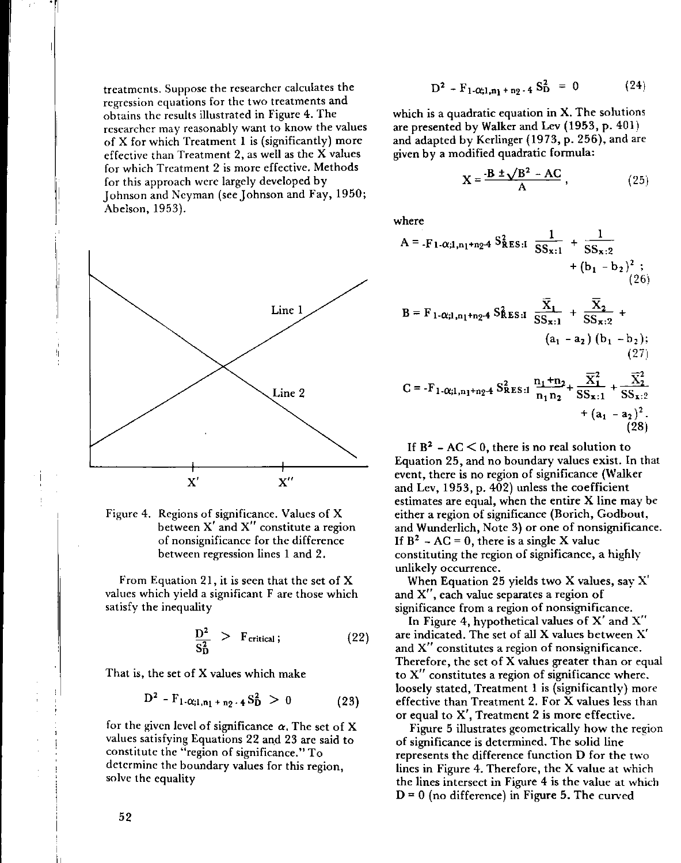treatments. Suppose the researcher calculates the **regression equations for the two treatments and** obtains the results illustrated in Figure 4. The **researcher may reasonably want to know the values** of X for which Treatment 1 is (significantly) more effective than Treatment 2, as well as the X values for which Treatment 2 is more effective. Methods for this approach were largely developed by Johnson and Neyman (see Johnson and Fay, 1950; Abelson, 1953).





From Equation 21, it is seen that the set of X values which yield a significant F are those which satisfy the inequality

$$
\frac{D^2}{S_D^2} > F_{critical}; \qquad (22)
$$

That is, the set of X values which make

$$
D^2 - F_{1-\alpha;1,n_1+n_2-4} S_D^2 > 0 \qquad (23)
$$

for the given level of significance  $\alpha$ . The set of X values satisfying Equations 22 and 23 are said to **constitute the "region of significance." To** determine the boundary values for this region, solve the equality

$$
D^2 - F_1 \alpha_{i1,n_1+n_2+4} S_D^2 = 0 \qquad (24)
$$

which is a quadratic equation in X. The solutions are presented by Walker and Lev (1953, p. 401) and adapted by Kerlinger (1973, p. 256), and are given by a modified quadratic formula:

$$
X = \frac{-B \pm \sqrt{B^2 - AC}}{A},
$$
 (25)

where

$$
A = -F_1 \cdot \alpha; 1, n_1 + n_2 \cdot 4 \cdot S_{RES:1}^2 \frac{1}{SS_{x:1}} + \frac{1}{SS_{x:2}} + (b_1 - b_2)^2 ;
$$
  
\n
$$
B = F_1 \cdot \alpha; 1, n_1 + n_2 \cdot 4 \cdot S_{RES:1}^2 \frac{\overline{X}_1}{SS_{x:1}} + \frac{\overline{X}_2}{SS_{x:2}} + (a_1 - a_2) (b_1 - b_2);
$$
  
\n(27)

$$
C = -F_{1-Q;1,n_1+n_2-4} S_{RES:1}^2 \frac{n_1 + n_2}{n_1 n_2} + \frac{\overline{X}_1^2}{SS_{x:1}} + \frac{\overline{X}_2^2}{SS_{x:2}} + (a_1 - a_2)^2.
$$
\n(28)

If  $B^2$  – AC  $\leq$  0, there is no real solution to Equation 25, and no boundary values exist. In that event, there is no region of significance (Walker and Lev, 1953, p. 402) unless the coefficient estimates are equal, when the entire X line may be either a region of significance (Borich, Godbout, and Wunderlich, Note 3) or one of nonsignificance. If  $B^2 - AC = 0$ , there is a single X value constituting the region of significance, a highly unlikely occurrence.

When Equation 25 yields two X values, say X' **and X", each value separates a region of significance from a region of nonsignificance.**

In Figure 4, hypothetical values of X' and X" are indicated. The set of all X values between X' **and X" constitutes a region of nonsignificance.** Therefore, the set of X values greater than or equal **to X" constitutes a region of significance where,** loosely stated, Treatment I is (significantly) more effective than Treatment 2. For X values less than **or equal to X', Treatment 2 is more effective.**

Figure 5 illustrates geometrically how the region of significance is determined. The solid line represents the difference function D for the two lines in Figure 4. Therefore, the X value at which the lines intersect in Figure 4 is the value at which  $D = 0$  (no difference) in Figure 5. The curved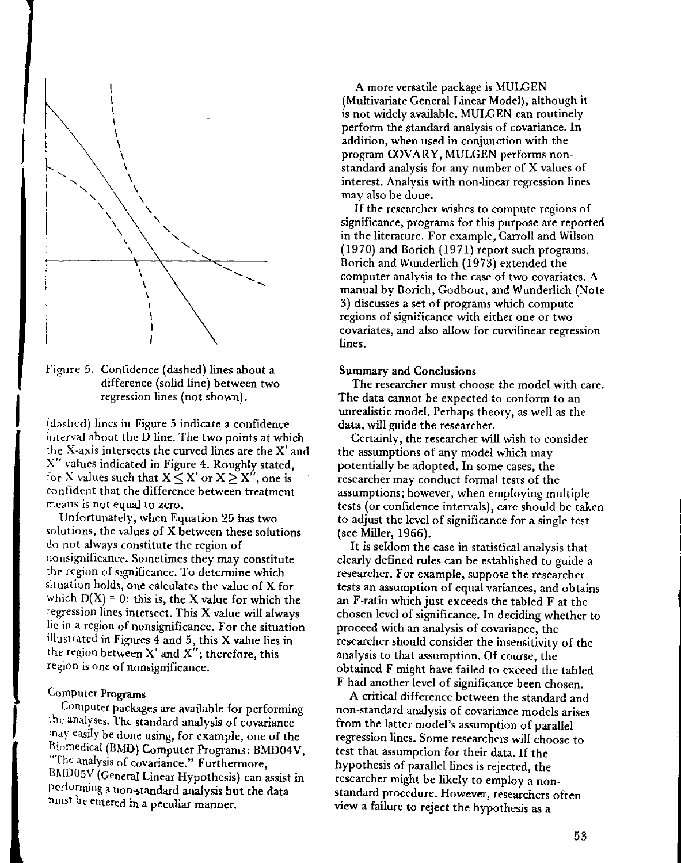

Figure 5. Confidence (dashed) lines about a difference (solid line) between two regression lines (not shown).

(dashed) lines in Figure 5 indicate a confidence interval about the D line. The two points at which the X-axis intersects the curved lines are the X' and X" values indicated in Figure 4. Roughly stated, for X values such that  $X \leq X'$  or  $X \geq X''$ , one is confident that the difference between treatment **means is not equal to zero.**

Unfortunately, when Equation 25 has two solutions, the values of X between these solutions do not always constitute the region of nonsignificance. Sometimes they may constitute the region of significance. To determine which situation holds, One calculates the value of X for which  $D(X) = 0$ : this is, the X value for which the regression lines intersect. This X value will always lie in a region of nonsignificance, For the situation illustrated in Figures 4 and 5, this X value lies in the region between  $X'$  and  $X''$ ; therefore, this **region is one of** nonsignificancc,

# Computer Programs

Computer packages are available for performing the analyses. The standard analysis of covariance may easily be done using, for example, one of the Biomedical (BMO) Computer Programs: BMD04V, "The **analysis of covariance." Furthermore,** BMD05V (General Linear Hypothesis) can assist in performing a non-standard analysis but the data must be entered in a peculiar manner.

A more versatile package is MULGEN (Multivariate General Linear Model), although it is not widely available. MULGEN can routinely perform the standard analysis of covariance. In addition, when used in conjunction with the program COVARY, MULGEN performs nonstandard analysis for any number of X values of interest. Analysis with non-linear regression lines may also be done.

If the researcher wishes to compute regions of significance, programs for this purpose are reported in the literature. For example, Carroll and Wilson (1970) and Borich (1971) report such programs. Borich and Wunderlich (1973) extended the computer analysis to the case of two covariates. A manual by Borich, Godbout, and Wunderlich (Note 3) discusses a set of programs which compute **regions of significance with either one or two covariates, and also allow for curvilinear regression** lines.

### Summary and Conclusions

The researcher must choose the model with care. The data cannot be expected to conform to an unrealistic model. Perhaps theory, as well as the data, will guide the researcher.

Certainly, the researcher will wish to consider the assumptions of any model which may potentially be adopted. In some cases, the researcher may conduct formal tests of the assumptions; however, when employing multiple tests (or confidence intervals), care should be taken to adjust the level of significance for a single test (see Miller, 1966).

It is seldom the case in statistical analysis that clearly defined rules can be established to guide a **researcher. For example, suppose the researcher tests an assumption of equal variances, and obtains** an F-ratio which just exceeds the tabled F at the chosen level of significance. In deciding whether to proceed with an analysis of covariance, the researcher should consider the insensitivity of the analysis to that assumption. Of course, the obtained F might have failed to exceed the tabled F had another level of significance been chosen.

A critical difference between the standard and non-standard analysis of covariance models arises from the latter model's assumption of parallel regression lines. Some researchers will choose to test that assumption for their data. If the hypothesis of parallel lines is rejected, the researcher might be likely to employ a nonstandard procedure. However, researchers often view a failure to reject the hypothesis as a